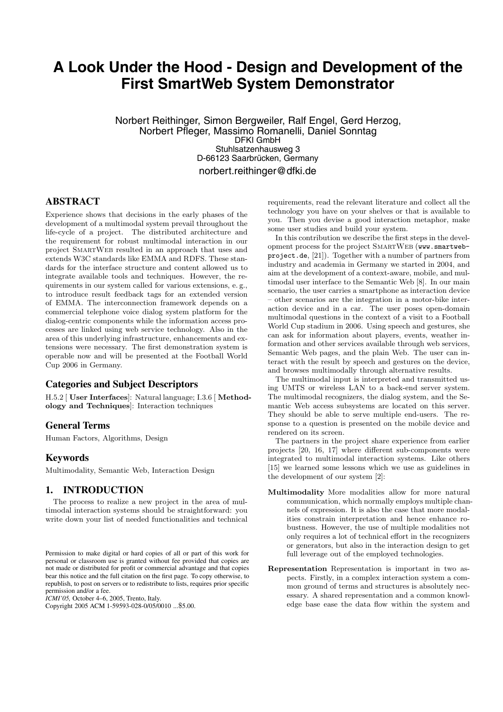# **A Look Under the Hood - Design and Development of the First SmartWeb System Demonstrator**

Norbert Reithinger, Simon Bergweiler, Ralf Engel, Gerd Herzog, Norbert Pfleger, Massimo Romanelli, Daniel Sonntag DFKI GmbH Stuhlsatzenhausweg 3 D-66123 Saarbrücken, Germany norbert.reithinger@dfki.de

## **ABSTRACT**

Experience shows that decisions in the early phases of the development of a multimodal system prevail throughout the life-cycle of a project. The distributed architecture and the requirement for robust multimodal interaction in our project SmartWeb resulted in an approach that uses and extends W3C standards like EMMA and RDFS. These standards for the interface structure and content allowed us to integrate available tools and techniques. However, the requirements in our system called for various extensions, e. g., to introduce result feedback tags for an extended version of EMMA. The interconnection framework depends on a commercial telephone voice dialog system platform for the dialog-centric components while the information access processes are linked using web service technology. Also in the area of this underlying infrastructure, enhancements and extensions were necessary. The first demonstration system is operable now and will be presented at the Football World Cup 2006 in Germany.

#### **Categories and Subject Descriptors**

H.5.2 [ User Interfaces]: Natural language; I.3.6 [ Methodology and Techniques]: Interaction techniques

# **General Terms**

Human Factors, Algorithms, Design

#### **Keywords**

Multimodality, Semantic Web, Interaction Design

# **1. INTRODUCTION**

The process to realize a new project in the area of multimodal interaction systems should be straightforward: you write down your list of needed functionalities and technical

*ICMI'05,* October 4–6, 2005, Trento, Italy.

Copyright 2005 ACM 1-59593-028-0/05/0010 ...\$5.00.

requirements, read the relevant literature and collect all the technology you have on your shelves or that is available to you. Then you devise a good interaction metaphor, make some user studies and build your system.

In this contribution we describe the first steps in the development process for the project SmartWeb (www.smartwebproject.de, [21]). Together with a number of partners from industry and academia in Germany we started in 2004, and aim at the development of a context-aware, mobile, and multimodal user interface to the Semantic Web [8]. In our main scenario, the user carries a smartphone as interaction device – other scenarios are the integration in a motor-bike interaction device and in a car. The user poses open-domain multimodal questions in the context of a visit to a Football World Cup stadium in 2006. Using speech and gestures, she can ask for information about players, events, weather information and other services available through web services, Semantic Web pages, and the plain Web. The user can interact with the result by speech and gestures on the device, and browses multimodally through alternative results.

The multimodal input is interpreted and transmitted using UMTS or wireless LAN to a back-end server system. The multimodal recognizers, the dialog system, and the Semantic Web access subsystems are located on this server. They should be able to serve multiple end-users. The response to a question is presented on the mobile device and rendered on its screen.

The partners in the project share experience from earlier projects [20, 16, 17] where different sub-components were integrated to multimodal interaction systems. Like others [15] we learned some lessons which we use as guidelines in the development of our system [2]:

- Multimodality More modalities allow for more natural communication, which normally employs multiple channels of expression. It is also the case that more modalities constrain interpretation and hence enhance robustness. However, the use of multiple modalities not only requires a lot of technical effort in the recognizers or generators, but also in the interaction design to get full leverage out of the employed technologies.
- Representation Representation is important in two aspects. Firstly, in a complex interaction system a common ground of terms and structures is absolutely necessary. A shared representation and a common knowledge base ease the data flow within the system and

Permission to make digital or hard copies of all or part of this work for personal or classroom use is granted without fee provided that copies are not made or distributed for profit or commercial advantage and that copies bear this notice and the full citation on the first page. To copy otherwise, to republish, to post on servers or to redistribute to lists, requires prior specific permission and/or a fee.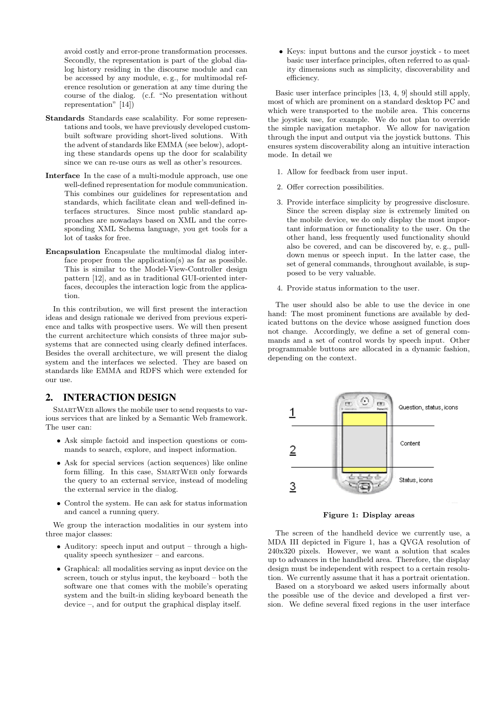avoid costly and error-prone transformation processes. Secondly, the representation is part of the global dialog history residing in the discourse module and can be accessed by any module, e. g., for multimodal reference resolution or generation at any time during the course of the dialog. (c.f. "No presentation without representation" [14])

- Standards Standards ease scalability. For some representations and tools, we have previously developed custombuilt software providing short-lived solutions. With the advent of standards like EMMA (see below), adopting these standards opens up the door for scalability since we can re-use ours as well as other's resources.
- Interface In the case of a multi-module approach, use one well-defined representation for module communication. This combines our guidelines for representation and standards, which facilitate clean and well-defined interfaces structures. Since most public standard approaches are nowadays based on XML and the corresponding XML Schema language, you get tools for a lot of tasks for free.
- Encapsulation Encapsulate the multimodal dialog interface proper from the application(s) as far as possible. This is similar to the Model-View-Controller design pattern [12], and as in traditional GUI-oriented interfaces, decouples the interaction logic from the application.

In this contribution, we will first present the interaction ideas and design rationale we derived from previous experience and talks with prospective users. We will then present the current architecture which consists of three major subsystems that are connected using clearly defined interfaces. Besides the overall architecture, we will present the dialog system and the interfaces we selected. They are based on standards like EMMA and RDFS which were extended for our use.

# **2. INTERACTION DESIGN**

SMARTWEB allows the mobile user to send requests to various services that are linked by a Semantic Web framework. The user can:

- *•* Ask simple factoid and inspection questions or commands to search, explore, and inspect information.
- *•* Ask for special services (action sequences) like online form filling. In this case, SMARTWEB only forwards the query to an external service, instead of modeling the external service in the dialog.
- *•* Control the system. He can ask for status information and cancel a running query.

We group the interaction modalities in our system into three major classes:

- *•* Auditory: speech input and output through a highquality speech synthesizer – and earcons.
- *•* Graphical: all modalities serving as input device on the screen, touch or stylus input, the keyboard – both the software one that comes with the mobile's operating system and the built-in sliding keyboard beneath the device –, and for output the graphical display itself.

*•* Keys: input buttons and the cursor joystick - to meet basic user interface principles, often referred to as quality dimensions such as simplicity, discoverability and efficiency.

Basic user interface principles [13, 4, 9] should still apply, most of which are prominent on a standard desktop PC and which were transported to the mobile area. This concerns the joystick use, for example. We do not plan to override the simple navigation metaphor. We allow for navigation through the input and output via the joystick buttons. This ensures system discoverability along an intuitive interaction mode. In detail we

- 1. Allow for feedback from user input.
- 2. Offer correction possibilities.
- 3. Provide interface simplicity by progressive disclosure. Since the screen display size is extremely limited on the mobile device, we do only display the most important information or functionality to the user. On the other hand, less frequently used functionality should also be covered, and can be discovered by, e. g., pulldown menus or speech input. In the latter case, the set of general commands, throughout available, is supposed to be very valuable.
- 4. Provide status information to the user.

The user should also be able to use the device in one hand: The most prominent functions are available by dedicated buttons on the device whose assigned function does not change. Accordingly, we define a set of general commands and a set of control words by speech input. Other programmable buttons are allocated in a dynamic fashion, depending on the context.



Figure 1: Display areas

The screen of the handheld device we currently use, a MDA III depicted in Figure 1, has a QVGA resolution of 240x320 pixels. However, we want a solution that scales up to advances in the handheld area. Therefore, the display design must be independent with respect to a certain resolution. We currently assume that it has a portrait orientation.

Based on a storyboard we asked users informally about the possible use of the device and developed a first version. We define several fixed regions in the user interface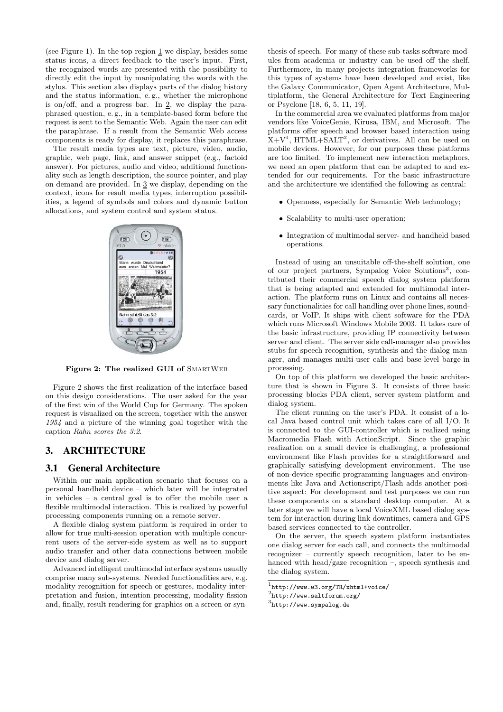(see Figure 1). In the top region  $1$  we display, besides some status icons, a direct feedback to the user's input. First, the recognized words are presented with the possibility to directly edit the input by manipulating the words with the stylus. This section also displays parts of the dialog history and the status information, e. g., whether the microphone is on/off, and a progress bar. In 2, we display the paraphrased question, e. g., in a template-based form before the request is sent to the Semantic Web. Again the user can edit the paraphrase. If a result from the Semantic Web access components is ready for display, it replaces this paraphrase.

The result media types are text, picture, video, audio, graphic, web page, link, and answer snippet (e.g., factoid answer). For pictures, audio and video, additional functionality such as length description, the source pointer, and play on demand are provided. In 3 we display, depending on the context, icons for result media types, interruption possibilities, a legend of symbols and colors and dynamic button allocations, and system control and system status.



Figure 2: The realized GUI of SMARTWEB

Figure 2 shows the first realization of the interface based on this design considerations. The user asked for the year of the first win of the World Cup for Germany. The spoken request is visualized on the screen, together with the answer *1954* and a picture of the winning goal together with the caption *Rahn scores the 3:2*.

# **3. ARCHITECTURE**

#### **3.1 General Architecture**

Within our main application scenario that focuses on a personal handheld device – which later will be integrated in vehicles – a central goal is to offer the mobile user a flexible multimodal interaction. This is realized by powerful processing components running on a remote server.

A flexible dialog system platform is required in order to allow for true multi-session operation with multiple concurrent users of the server-side system as well as to support audio transfer and other data connections between mobile device and dialog server.

Advanced intelligent multimodal interface systems usually comprise many sub-systems. Needed functionalities are, e.g. modality recognition for speech or gestures, modality interpretation and fusion, intention processing, modality fission and, finally, result rendering for graphics on a screen or synthesis of speech. For many of these sub-tasks software modules from academia or industry can be used off the shelf. Furthermore, in many projects integration frameworks for this types of systems have been developed and exist, like the Galaxy Communicator, Open Agent Architecture, Multiplatform, the General Architecture for Text Engineering or Psyclone [18, 6, 5, 11, 19].

In the commercial area we evaluated platforms from major vendors like VoiceGenie, Kirusa, IBM, and Microsoft. The platforms offer speech and browser based interaction using  $X+V<sup>1</sup>$ , HTML+SALT<sup>2</sup>, or derivatives. All can be used on mobile devices. However, for our purposes these platforms are too limited. To implement new interaction metaphors, we need an open platform that can be adapted to and extended for our requirements. For the basic infrastructure and the architecture we identified the following as central:

- *•* Openness, especially for Semantic Web technology;
- *•* Scalability to multi-user operation;
- *•* Integration of multimodal server- and handheld based operations.

Instead of using an unsuitable off-the-shelf solution, one of our project partners, Sympalog Voice Solutions<sup>3</sup>, contributed their commercial speech dialog system platform that is being adapted and extended for multimodal interaction. The platform runs on Linux and contains all necessary functionalities for call handling over phone lines, soundcards, or VoIP. It ships with client software for the PDA which runs Microsoft Windows Mobile 2003. It takes care of the basic infrastructure, providing IP connectivity between server and client. The server side call-manager also provides stubs for speech recognition, synthesis and the dialog manager, and manages multi-user calls and base-level barge-in processing.

On top of this platform we developed the basic architecture that is shown in Figure 3. It consists of three basic processing blocks PDA client, server system platform and dialog system.

The client running on the user's PDA. It consist of a local Java based control unit which takes care of all I/O. It is connected to the GUI-controller which is realized using Macromedia Flash with ActionScript. Since the graphic realization on a small device is challenging, a professional environment like Flash provides for a straightforward and graphically satisfying development environment. The use of non-device specific programming languages and environments like Java and Actionscript/Flash adds another positive aspect: For development and test purposes we can run these components on a standard desktop computer. At a later stage we will have a local VoiceXML based dialog system for interaction during link downtimes, camera and GPS based services connected to the controller.

On the server, the speech system platform instantiates one dialog server for each call, and connects the multimodal recognizer – currently speech recognition, later to be enhanced with head/gaze recognition –, speech synthesis and the dialog system.

<sup>1</sup>http://www.w3.org/TR/xhtml+voice/

<sup>2</sup>http://www.saltforum.org/

 $3$ http://www.sympalog.de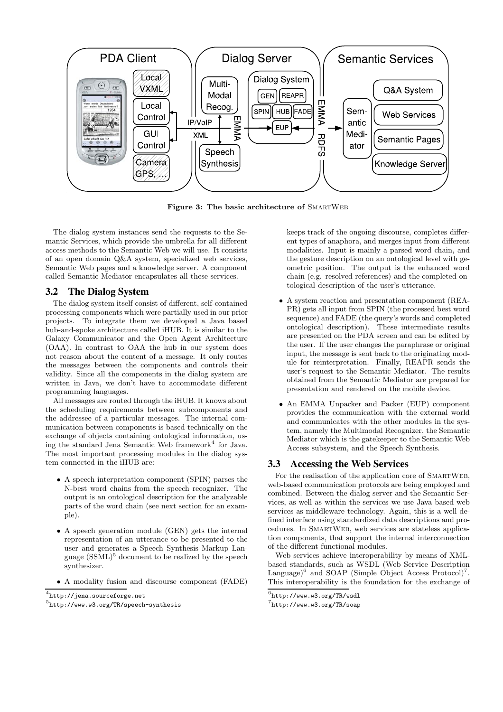

Figure 3: The basic architecture of SMARTWEB

The dialog system instances send the requests to the Semantic Services, which provide the umbrella for all different access methods to the Semantic Web we will use. It consists of an open domain Q&A system, specialized web services, Semantic Web pages and a knowledge server. A component called Semantic Mediator encapsulates all these services.

## **3.2 The Dialog System**

The dialog system itself consist of different, self-contained processing components which were partially used in our prior projects. To integrate them we developed a Java based hub-and-spoke architecture called iHUB. It is similar to the Galaxy Communicator and the Open Agent Architecture (OAA). In contrast to OAA the hub in our system does not reason about the content of a message. It only routes the messages between the components and controls their validity. Since all the components in the dialog system are written in Java, we don't have to accommodate different programming languages.

All messages are routed through the iHUB. It knows about the scheduling requirements between subcomponents and the addressee of a particular messages. The internal communication between components is based technically on the exchange of objects containing ontological information, using the standard Jena Semantic Web framework<sup>4</sup> for Java. The most important processing modules in the dialog system connected in the iHUB are:

- *•* A speech interpretation component (SPIN) parses the N-best word chains from the speech recognizer. The output is an ontological description for the analyzable parts of the word chain (see next section for an example).
- *•* A speech generation module (GEN) gets the internal representation of an utterance to be presented to the user and generates a Speech Synthesis Markup Language  $(SSML)^5$  document to be realized by the speech synthesizer.
- *•* A modality fusion and discourse component (FADE)

<sup>4</sup>http://jena.sourceforge.net

keeps track of the ongoing discourse, completes different types of anaphora, and merges input from different modalities. Input is mainly a parsed word chain, and the gesture description on an ontological level with geometric position. The output is the enhanced word chain (e.g. resolved references) and the completed ontological description of the user's utterance.

- *•* A system reaction and presentation component (REA-PR) gets all input from SPIN (the processed best word sequence) and FADE (the query's words and completed ontological description). These intermediate results are presented on the PDA screen and can be edited by the user. If the user changes the paraphrase or original input, the message is sent back to the originating module for reinterpretation. Finally, REAPR sends the user's request to the Semantic Mediator. The results obtained from the Semantic Mediator are prepared for presentation and rendered on the mobile device.
- *•* An EMMA Unpacker and Packer (EUP) component provides the communication with the external world and communicates with the other modules in the system, namely the Multimodal Recognizer, the Semantic Mediator which is the gatekeeper to the Semantic Web Access subsystem, and the Speech Synthesis.

#### **3.3 Accessing the Web Services**

For the realisation of the application core of SMARTWEB, web-based communication protocols are being employed and combined. Between the dialog server and the Semantic Services, as well as within the services we use Java based web services as middleware technology. Again, this is a well defined interface using standardized data descriptions and procedures. In SmartWeb, web services are stateless application components, that support the internal interconnection of the different functional modules.

Web services achieve interoperability by means of XMLbased standards, such as WSDL (Web Service Description Language)<sup>6</sup> and SOAP (Simple Object Access Protocol)<sup>7</sup>. This interoperability is the foundation for the exchange of

<sup>5</sup>http://www.w3.org/TR/speech-synthesis

 $^6$ http://www.w3.org/TR/wsdl

<sup>7</sup>http://www.w3.org/TR/soap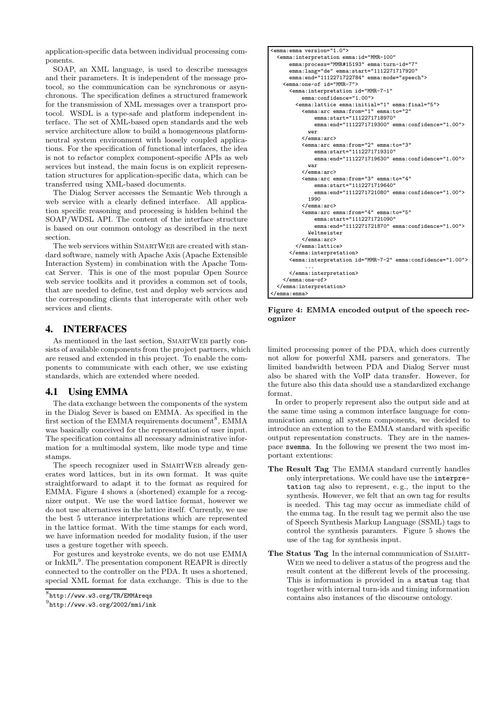application-specific data between individual processing components.

SOAP, an XML language, is used to describe messages and their parameters. It is independent of the message protocol, so the communication can be synchronous or asynchronous. The specification defines a structured framework for the transmission of XML messages over a transport protocol. WSDL is a type-safe and platform independent interface. The set of XML-based open standards and the web service architecture allow to build a homogeneous platformneutral system environment with loosely coupled applications. For the specification of functional interfaces, the idea is not to refactor complex component-specific APIs as web services but instead, the main focus is on explicit representation structures for application-specific data, which can be transferred using XML-based documents.

The Dialog Server accesses the Semantic Web through a web service with a clearly defined interface. All application specific reasoning and processing is hidden behind the SOAP/WDSL API. The content of the interface structure is based on our common ontology as described in the next section.

The web services within SMARTWEB are created with standard software, namely with Apache Axis (Apache Extensible Interaction System) in combination with the Apache Tomcat Server. This is one of the most popular Open Source web service toolkits and it provides a common set of tools, that are needed to define, test and deploy web services and the corresponding clients that interoperate with other web services and clients.

# **4. INTERFACES**

As mentioned in the last section, SMARTWEB partly consists of available components from the project partners, which are reused and extended in this project. To enable the components to communicate with each other, we use existing standards, which are extended where needed.

## **4.1 Using EMMA**

The data exchange between the components of the system in the Dialog Sever is based on EMMA. As specified in the first section of the EMMA requirements document<sup>8</sup>, EMMA was basically conceived for the representation of user input. The specification contains all necessary administrative information for a multimodal system, like mode type and time stamps.

The speech recognizer used in SMARTWEB already generates word lattices, but in its own format. It was quite straightforward to adapt it to the format as required for EMMA. Figure 4 shows a (shortened) example for a recognizer output. We use the word lattice format, however we do not use alternatives in the lattice itself. Currently, we use the best 5 utterance interpretations which are represented in the lattice format. With the time stamps for each word, we have information needed for modality fusion, if the user uses a gesture together with speech.

For gestures and keystroke events, we do not use EMMA or InkML<sup>9</sup>. The presentation component REAPR is directly connected to the controller on the PDA. It uses a shortened, special XML format for data exchange. This is due to the

```
<emma:emma version="1.0">
 <emma:interpretation emma:id="MMR-100"
     emma:process="MMR#15193" emma:turn-id="7"
     emma:lang="de" emma:start="1112271717920"
     emma:end="1112271722784" emma:mode="speech">
   <emma:one-of id="MMR-7">
     <emma:interpretation id="MMR-7-1"
         emma:confidence="1.00">
       <emma:lattice emma:initial="1" emma:final="5">
         <emma:arc emma:from="1" emma:to="2"
             emma:start="1112271718970"
             emma:end="1112271719300" emma:confidence="1.00">
           wer
         </emma:arc>
         <emma:arc emma:from="2" emma:to="3"
             emma:start="1112271719310"
             emma:end="1112271719630" emma:confidence="1.00">
           war
         </emma:arc>
         <emma:arc emma:from="3" emma:to="4"
             emma:start="1112271719640"
             emma:end="1112271721080" emma:confidence="1.00">
           1990
         \epsilon/amma:arc>
         <emma:arc emma:from="4" emma:to="5"
             emma:start="1112271721090"
             emma:end="1112271721870" emma:confidence="1.00">
           Weltmeister
          </emma:arc>
       </emma:lattice>
     </emma:interpretation>
     <emma:interpretation id="MMR-7-2" emma:confidence="1.00">
           ...
      </emma:interpretation>
   </emma:one-of>
 </emma:interpretation>
</emma:emma>
```
Figure 4: EMMA encoded output of the speech recognizer

limited processing power of the PDA, which does currently not allow for powerful XML parsers and generators. The limited bandwidth between PDA and Dialog Server must also be shared with the VoIP data transfer. However, for the future also this data should use a standardized exchange format.

In order to properly represent also the output side and at the same time using a common interface language for communication among all system components, we decided to introduce an extention to the EMMA standard with specific output representation constructs. They are in the namespace swemma. In the following we present the two most important extentions:

- The Result Tag The EMMA standard currently handles only interpretations. We could have use the interpretation tag also to represent, e. g., the input to the synthesis. However, we felt that an own tag for results is needed. This tag may occur as immediate child of the emma tag. In the result tag we permit also the use of Speech Synthesis Markup Language (SSML) tags to control the synthesis paramters. Figure 5 shows the use of the tag for synthesis input.
- The Status Tag In the internal communication of SMART-WEB we need to deliver a status of the progress and the result content at the different levels of the processing. This is information is provided in a status tag that together with internal turn-ids and timing information contains also instances of the discourse ontology.

<sup>8</sup>http://www.w3.org/TR/EMMAreqs

 $^{9}$ http://www.w3.org/2002/mmi/ink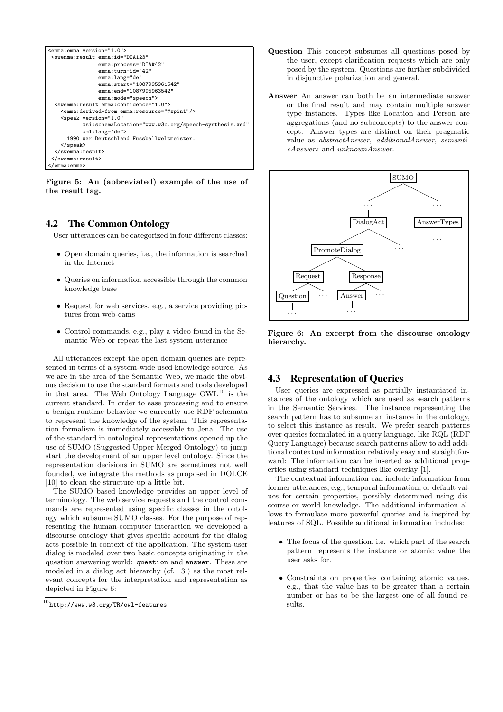```
<emma:emma version="1.0">
<swemma:result emma:id="DIA123"
               emma:process="DIA#42"
               emma:turn-id="42"
               emma:lang="de"
               emma:start="1087995961542"
               emma:end="1087995963542"
               emma:mode="speech">
 <swemma:result emma:confidence="1.0">
   <emma:derived-from emma:resource="#spin1"/>
   <speak version="1.0"
          xsi:schemaLocation="www.w3c.org/speech-synthesis.xsd"
          xml:lang="de">
     1990 war Deutschland Fussballweltmeister.
   </speak>
 </swemma:result>
</swemma:result>
</emma:emma>
```
Figure 5: An (abbreviated) example of the use of the result tag.

# **4.2 The Common Ontology**

User utterances can be categorized in four different classes:

- *•* Open domain queries, i.e., the information is searched in the Internet
- *•* Queries on information accessible through the common knowledge base
- *•* Request for web services, e.g., a service providing pictures from web-cams
- *•* Control commands, e.g., play a video found in the Semantic Web or repeat the last system utterance

All utterances except the open domain queries are represented in terms of a system-wide used knowledge source. As we are in the area of the Semantic Web, we made the obvious decision to use the standard formats and tools developed in that area. The Web Ontology Language OWL<sup>10</sup> is the current standard. In order to ease processing and to ensure a benign runtime behavior we currently use RDF schemata to represent the knowledge of the system. This representation formalism is immediately accessible to Jena. The use of the standard in ontological representations opened up the use of SUMO (Suggested Upper Merged Ontology) to jump start the development of an upper level ontology. Since the representation decisions in SUMO are sometimes not well founded, we integrate the methods as proposed in DOLCE [10] to clean the structure up a little bit.

The SUMO based knowledge provides an upper level of terminology. The web service requests and the control commands are represented using specific classes in the ontology which subsume SUMO classes. For the purpose of representing the human-computer interaction we developed a discourse ontology that gives specific account for the dialog acts possible in context of the application. The system-user dialog is modeled over two basic concepts originating in the question answering world: question and answer. These are modeled in a dialog act hierarchy (cf. [3]) as the most relevant concepts for the interpretation and representation as depicted in Figure 6:

- Question This concept subsumes all questions posed by the user, except clarification requests which are only posed by the system. Questions are further subdivided in disjunctive polarization and general.
- Answer An answer can both be an intermediate answer or the final result and may contain multiple answer type instances. Types like Location and Person are aggregations (and no subconcepts) to the answer concept. Answer types are distinct on their pragmatic value as *abstractAnswer*, *additionalAnswer*, *semanticAnswers* and *unknownAnswer*.





# **4.3 Representation of Queries**

User queries are expressed as partially instantiated instances of the ontology which are used as search patterns in the Semantic Services. The instance representing the search pattern has to subsume an instance in the ontology, to select this instance as result. We prefer search patterns over queries formulated in a query language, like RQL (RDF Query Language) because search patterns allow to add additional contextual information relatively easy and straightforward: The information can be inserted as additional properties using standard techniques like overlay [1].

The contextual information can include information from former utterances, e.g., temporal information, or default values for certain properties, possibly determined using discourse or world knowledge. The additional information allows to formulate more powerful queries and is inspired by features of SQL. Possible additional information includes:

- *•* The focus of the question, i.e. which part of the search pattern represents the instance or atomic value the user asks for.
- *•* Constraints on properties containing atomic values, e.g., that the value has to be greater than a certain number or has to be the largest one of all found results.

 $^{10}$ http://www.w $3.\mathtt{org/TR}/\mathtt{owl}\mathtt{-features}$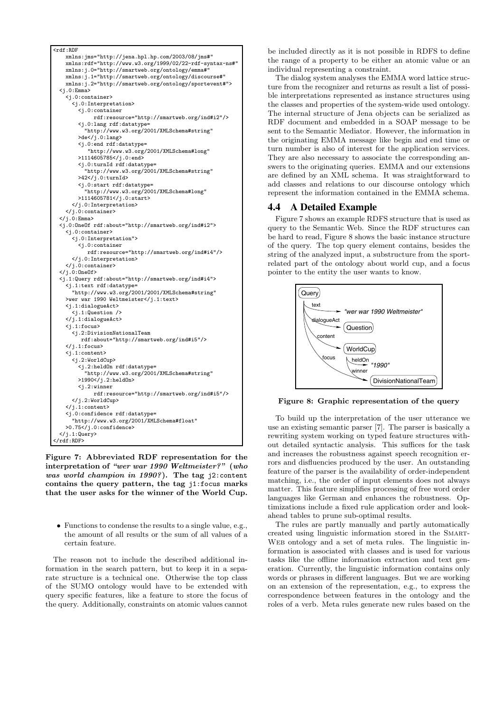

Figure 7: Abbreviated RDF representation for the interpretation of *"wer war 1990 Weltmeister?"* (*who was world champion in 1990?*). The tag j2:content contains the query pattern, the tag j1:focus marks that the user asks for the winner of the World Cup.

*•* Functions to condense the results to a single value, e.g., the amount of all results or the sum of all values of a certain feature.

The reason not to include the described additional information in the search pattern, but to keep it in a separate structure is a technical one. Otherwise the top class of the SUMO ontology would have to be extended with query specific features, like a feature to store the focus of the query. Additionally, constraints on atomic values cannot be included directly as it is not possible in RDFS to define the range of a property to be either an atomic value or an individual representing a constraint.

The dialog system analyses the EMMA word lattice structure from the recognizer and returns as result a list of possible interpretations represented as instance structures using the classes and properties of the system-wide used ontology. The internal structure of Jena objects can be serialized as RDF document and embedded in a SOAP message to be sent to the Semantic Mediator. However, the information in the originating EMMA message like begin and end time or turn number is also of interest for the application services. They are also necessary to associate the corresponding answers to the originating queries. EMMA and our extensions are defined by an XML schema. It was straightforward to add classes and relations to our discourse ontology which represent the information contained in the EMMA schema.

## **4.4 A Detailed Example**

Figure 7 shows an example RDFS structure that is used as query to the Semantic Web. Since the RDF structures can be hard to read, Figure 8 shows the basic instance structure of the query. The top query element contains, besides the string of the analyzed input, a substructure from the sportrelated part of the ontology about world cup, and a focus pointer to the entity the user wants to know.



Figure 8: Graphic representation of the query

To build up the interpretation of the user utterance we use an existing semantic parser [7]. The parser is basically a rewriting system working on typed feature structures without detailed syntactic analysis. This suffices for the task and increases the robustness against speech recognition errors and disfluencies produced by the user. An outstanding feature of the parser is the availability of order-independent matching, i.e., the order of input elements does not always matter. This feature simplifies processing of free word order languages like German and enhances the robustness. Optimizations include a fixed rule application order and lookahead tables to prune sub-optimal results.

The rules are partly manually and partly automatically created using linguistic information stored in the Smart-Web ontology and a set of meta rules. The linguistic information is associated with classes and is used for various tasks like the offline information extraction and text generation. Currently, the linguistic information contains only words or phrases in different languages. But we are working on an extension of the representation, e.g., to express the correspondence between features in the ontology and the roles of a verb. Meta rules generate new rules based on the